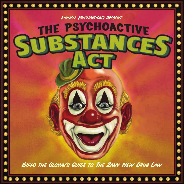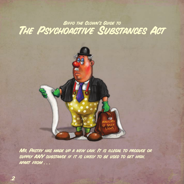## **BIFFO THE CLOWN'S GUIDE TO** THE PSYCHOACTIVE SUBSTANCES ACT



Mr. Pastry has made up a new law. It is illegal to produce or supply ANY substance if it is likely to be used to get high, apart from . . .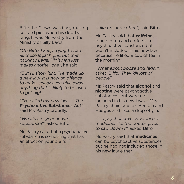Biffo the Clown was busy making custard pies when his doorbell rang. It was Mr. Pastry from the Ministry of Silly Laws**.**

"Oh Biffo, I keep trying to ban all these legal highs, but that naughty Legal High Man just makes another one", he said.

"But I'll show him. I've made up a new law. It is now an offence to make, sell or even give away anything that is likely to be used to get high".

"I've called my new law . . . The **Psychoactive Substances Act**", said Mr. Pastry proudly.

"What's a psychoactive substance?", asked Biffo.

Mr. Pastry said that a psychoactive substance is something that has an effect on your brain.

"Like tea and coffee", said Biffo.

Mr. Pastry said that **caffeine,**  found in tea and coffee is a psychoactive substance but wasn't included in his new law because he liked a cup of tea in the morning.

"What about booze and fags?", asked Biffo."They kill lots of people".

Mr. Pastry said that **alcohol** and **nicotine** were psychoactive substances, but were not included in his new law as Mrs. Pastry chain smokes Benson and Hedges and likes a drop of gin.

"Is a psychoactive substance a medicine, like the doctor gives to sad clowns?", asked Biffo.

Mr. Pastry said that **medicines** can be psychoactive substances. but he had not included those in his new law either.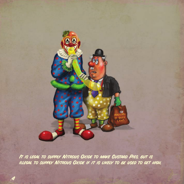

It is legal to supply Nitrous Oxide to make Custard Pies. but is illegal to supply Nitrous Oxide if it is likely to be used to get high.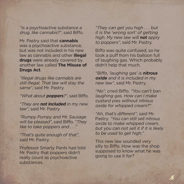"Is a psychoactive substance a drug, like cannabis?", said Biffo.

Mr. Pastry said that **cannabis**  was a psychoactive substance, but was not included in his new law as cannabis and other **illegal drugs** were already covered by another law called **The Misuse of Drugs Act**.

"Illegal drugs like cannabis are still illegal. That law will stay the same", said Mr. Pastry.

"What about **poppers**?", said Biffo.

"They are **not included** in my new law", said Mr. Pastry.

"Rumpy Pumpy and Mr. Sausage will be pleased", said Biffo. "They like to take poppers and ...."

"That's quite enough of that", said Mr. Pastry.

Professor Smarty Pants had told Mr. Pastry that poppers didn't really count as psychoactive substances.

"They can get you high . . . but it is the 'wrong sort' of getting high. My new law will **not** apply to poppers", said Mr. Pastry.

Biffo was quite confused, so he took a puff from his balloon full of laughing gas. Which probably didn't help that much.

"Biffo, 'laughing gas' is **nitrous oxide** and it is included in my new law", said Mr. Pastry.

"No", cried Biffo. "You can't ban laughing gas. How can I make custard pies without nitrous oxide for whipped cream?"

"Ah, that's different", said Mr. Pastry. "You can still sell nitrous oxide to make whipped cream, but you can not sell it if it is likely to be used to get high."

This new law sounded very silly to Biffo. How was the shop supposed to know what he was going to use it for?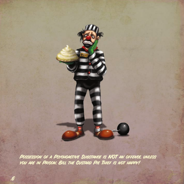

POSSESSION OF A PSYCHOACTIVE SUBSTANCE IS NOT AN OFFENCE. UNLESS you are in Prison. Bill the Custard Pie Thief is not happy!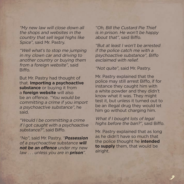"My new law will close down all the shops and websites in the country that sell legal highs like Spice", said Mr. Pastry.

"Well what's to stop me jumping in my clown car and driving to another country or buying them from a foreign website", said **Biffo** 

But Mr. Pastry had thought of that. **Importing a psychoactive substance** or buying it from a **foreign website** will also be an offence. "You would be committing a crime if you import a psychoactive substance", he said.

"Would I be committing a crime if I got caught with a psychoactive substance?", said Biffo.

"No", said Mr. Pastry. "**Possession**  of a psychoactive substance **will not be an offence** under my new law . . . unless you are in **prison**".

"Oh, Bill the Custard Pie Thief is in prison. He won't be happy about that", said Biffo.

"But at least I won't be arrested if the police catch me with a psychoactive substance", Biffo exclaimed with relief.

"Not quite", said Mr. Pastry.

Mr. Pastry explained that the police may still arrest Biffo, if for instance they caught him with a white powder and they didn't know what it was. They might test it, but unless it turned out to be an illegal drug they would let him go without charging him.

What if I bought lots of legal highs before the ban?", said Biffo.

Mr. Pastry explained that as long as he didn't have so much that the police thought he **intended to supply** them, that would be alright.

.7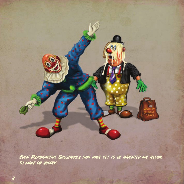

Even Psychoactive Substances that have yet to be invented are illegal to make or supply.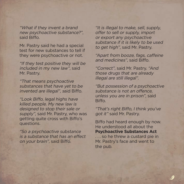"What if they invent a brand new psychoactive substance?", said Biffo.

Mr. Pastry said he had a special test for new substances to tell if they were psychoactive or not.

"If they test positive they will be included in my new law", said Mr. Pastry.

"That means psychoactive substances that have yet to be invented are illegal", said Biffo.

"Look Biffo, legal highs have killed people. My new law is designed to stop their sale or supply", said Mr. Pastry, who was getting quite cross with Biffo's questions.

"So a psychoactive substance is a substance that has an effect on your brain", said Biffo.

"It is illegal to make, sell, supply, offer to sell or supply, import or export any psychoactive substance if it is likely to be used to get high", said Mr. Pastry.

"Apart from booze, fags, caffeine and medicines", said Biffo.

"Correct", said Mr. Pastry. "And those drugs that are already illegal are still illegal".

"But possession of a psychoactive substance is not an offence unless you are in prison", said Biffo.

"That's right Biffo, I think you've got it" said Mr. Pastry.

Biffo had heard enough by now. He understood all about the **Psychoactive Substances Act** ... so he threw a custard pie in Mr. Pastry's face and went to the pub.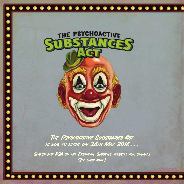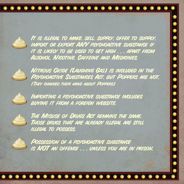. . . . . . . . . . . .  $\bullet$ 

It is illegal to make, sell, supply, offer to supply, import or export ANY psychoactive substance if it is likely to be used to get high . . . apart from Alcohol, Nicotine, Caffeine and Medicines.



Nitrous Oxide (Laughing Gas) is included in the Psychoactive Substances Act, but Poppers are not. (They changed their mind about Poppers)



Importing a psychoactive substance includes buying it from a foreign website.



The Misuse of Drugs Act remains the same. Those drugs that are already illegal are still illegal to possess.



POSSESSION OF A PSYCHOACTIVE SUBSTANCE is NOT an offence . . . unless you are in prison.

## $\bullet$   $\bullet$ . . . . . . . . . . . . . .